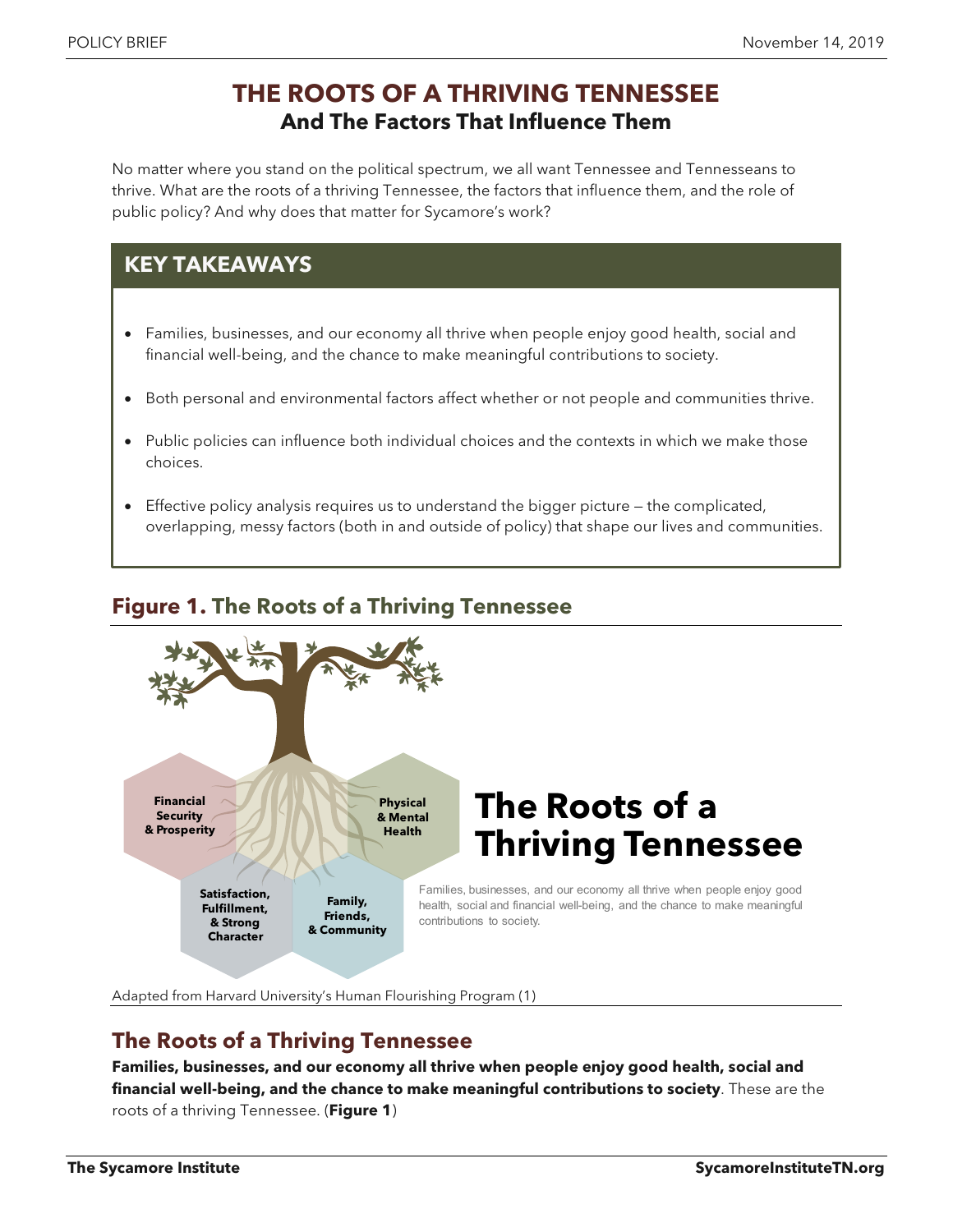# **THE ROOTS OF A THRIVING TENNESSEE And The Factors That Influence Them**

No matter where you stand on the political spectrum, we all want Tennessee and Tennesseans to thrive. What are the roots of a thriving Tennessee, the factors that influence them, and the role of public policy? And why does that matter for Sycamore's work?

# **KEY TAKEAWAYS**

- Families, businesses, and our economy all thrive when people enjoy good health, social and financial well-being, and the chance to make meaningful contributions to society.
- Both personal and environmental factors affect whether or not people and communities thrive.
- Public policies can influence both individual choices and the contexts in which we make those choices.
- Effective policy analysis requires us to understand the bigger picture the complicated, overlapping, messy factors (both in and outside of policy) that shape our lives and communities.



## **Figure 1. The Roots of a Thriving Tennessee**

Adapted from Harvard University's Human Flourishing Program (1)

### **The Roots of a Thriving Tennessee**

**Families, businesses, and our economy all thrive when people enjoy good health, social and financial well-being, and the chance to make meaningful contributions to society**. These are the roots of a thriving Tennessee. (**Figure 1**)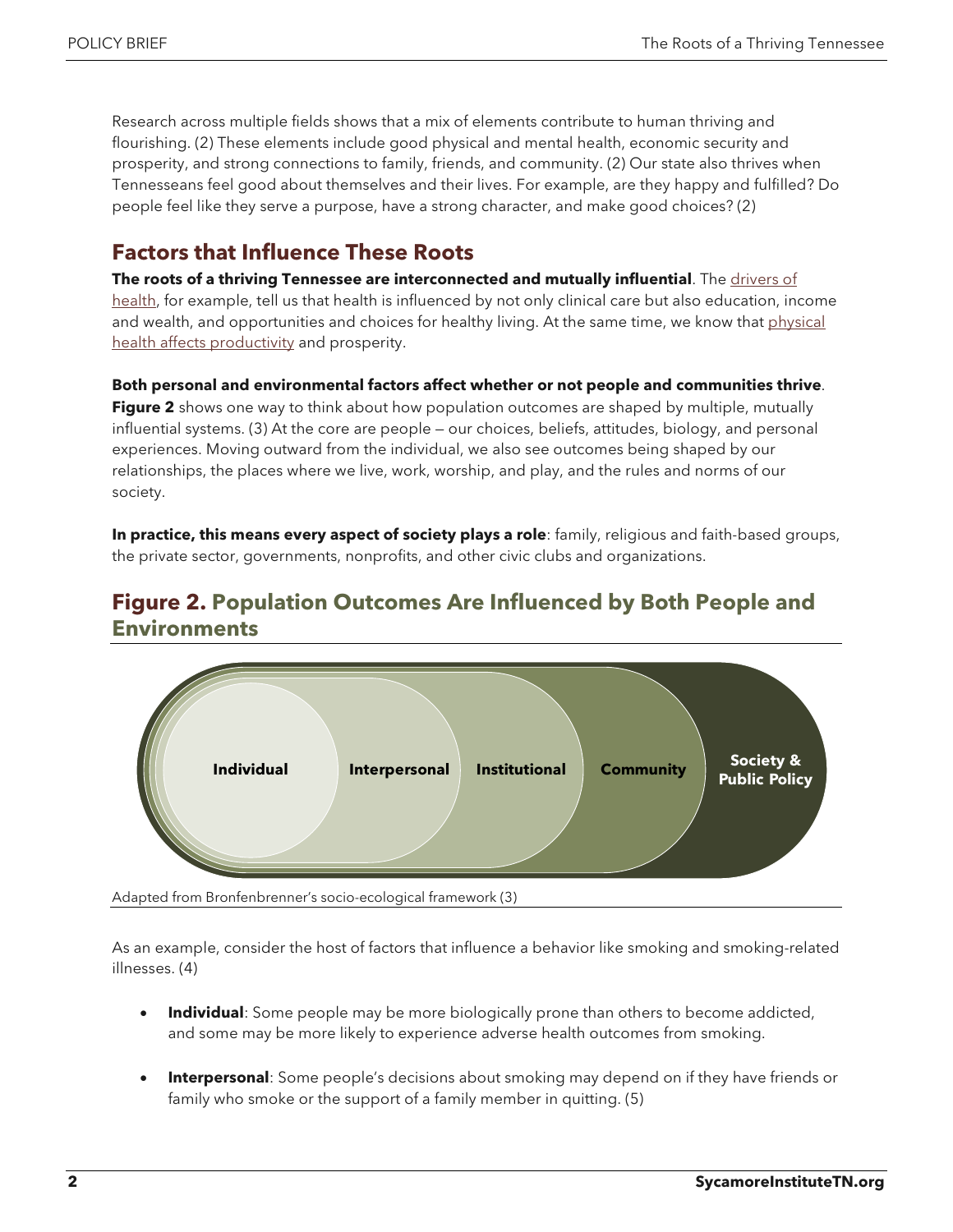Research across multiple fields shows that a mix of elements contribute to human thriving and flourishing. (2) These elements include good physical and mental health, economic security and prosperity, and strong connections to family, friends, and community. (2) Our state also thrives when Tennesseans feel good about themselves and their lives. For example, are they happy and fulfilled? Do people feel like they serve a purpose, have a strong character, and make good choices? (2)

## **Factors that Influence These Roots**

**The roots of a thriving Tennessee are interconnected and mutually influential**. The [drivers of](https://www.sycamoreinstitutetn.org/drivers-of-health/)  [health,](https://www.sycamoreinstitutetn.org/drivers-of-health/) for example, tell us that health is influenced by not only clinical care but also education, income and wealth, and opportunities and choices for healthy living. At the same time, we know that physical [health affects](https://www.sycamoreinstitutetn.org/cost-chronic-disease-tennessee/) productivity and prosperity.

#### **Both personal and environmental factors affect whether or not people and communities thrive**.

**Figure 2** shows one way to think about how population outcomes are shaped by multiple, mutually influential systems. (3) At the core are people — our choices, beliefs, attitudes, biology, and personal experiences. Moving outward from the individual, we also see outcomes being shaped by our relationships, the places where we live, work, worship, and play, and the rules and norms of our society.

**In practice, this means every aspect of society plays a role**: family, religious and faith-based groups, the private sector, governments, nonprofits, and other civic clubs and organizations.

#### **Figure 2. Population Outcomes Are Influenced by Both People and Environments**



Adapted from Bronfenbrenner's socio-ecological framework (3)

As an example, consider the host of factors that influence a behavior like smoking and smoking-related illnesses. (4)

- **Individual**: Some people may be more biologically prone than others to become addicted, and some may be more likely to experience adverse health outcomes from smoking.
- **Interpersonal**: Some people's decisions about smoking may depend on if they have friends or family who smoke or the support of a family member in quitting. (5)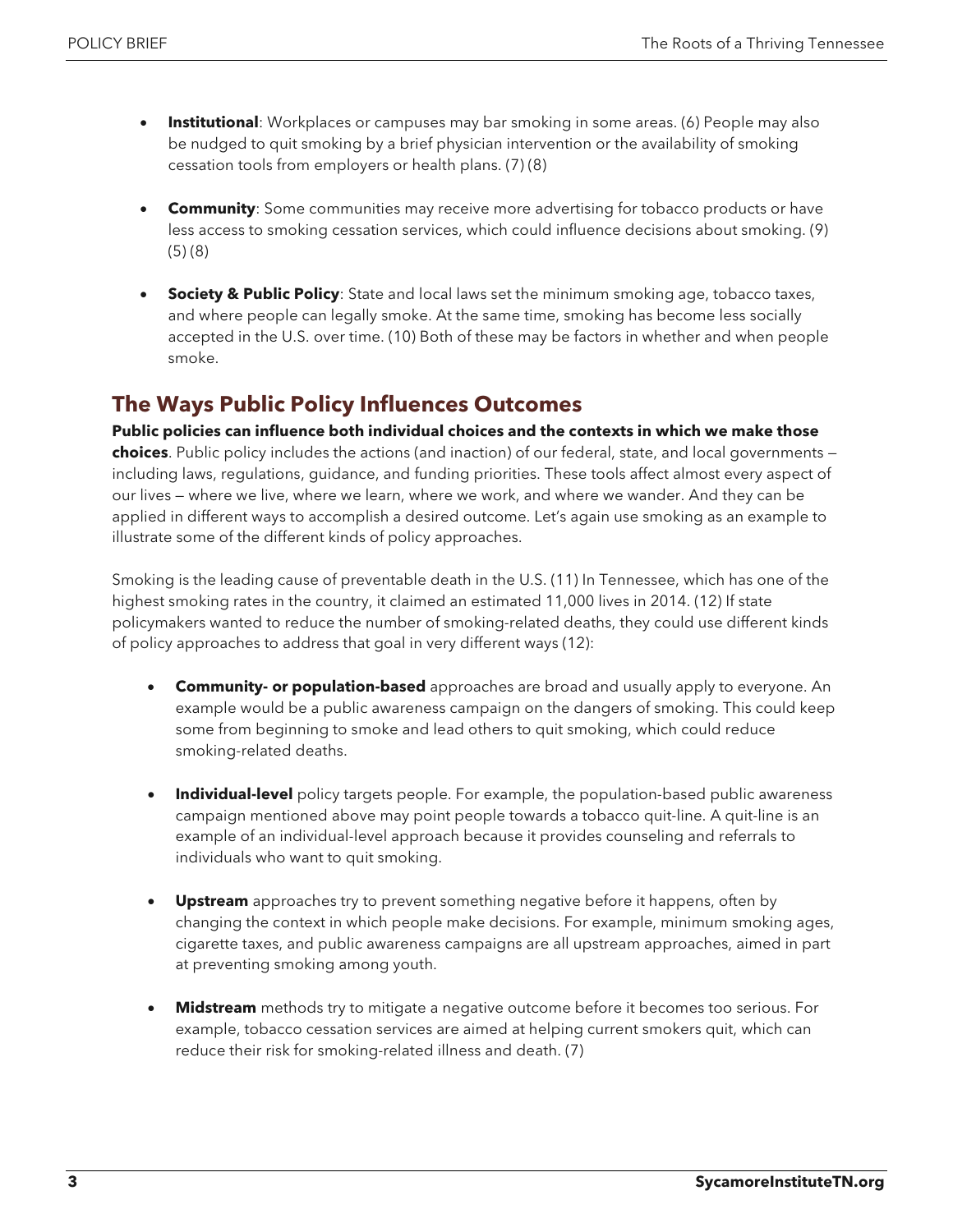- **Institutional**: Workplaces or campuses may bar smoking in some areas. (6) People may also be nudged to quit smoking by a brief physician intervention or the availability of smoking cessation tools from employers or health plans. (7) (8)
- **Community**: Some communities may receive more advertising for tobacco products or have less access to smoking cessation services, which could influence decisions about smoking. (9) (5) (8)
- **Society & Public Policy**: State and local laws set the minimum smoking age, tobacco taxes, and where people can legally smoke. At the same time, smoking has become less socially accepted in the U.S. over time. (10) Both of these may be factors in whether and when people smoke.

# **The Ways Public Policy Influences Outcomes**

**Public policies can influence both individual choices and the contexts in which we make those choices**. Public policy includes the actions (and inaction) of our federal, state, and local governments including laws, regulations, guidance, and funding priorities. These tools affect almost every aspect of our lives — where we live, where we learn, where we work, and where we wander. And they can be applied in different ways to accomplish a desired outcome. Let's again use smoking as an example to illustrate some of the different kinds of policy approaches.

Smoking is the leading cause of preventable death in the U.S. (11) In Tennessee, which has one of the highest smoking rates in the country, it claimed an estimated 11,000 lives in 2014. (12) If state policymakers wanted to reduce the number of smoking-related deaths, they could use different kinds of policy approaches to address that goal in very different ways (12):

- **Community- or population-based** approaches are broad and usually apply to everyone. An example would be a public awareness campaign on the dangers of smoking. This could keep some from beginning to smoke and lead others to quit smoking, which could reduce smoking-related deaths.
- **Individual-level** policy targets people. For example, the population-based public awareness campaign mentioned above may point people towards a tobacco quit-line. A quit-line is an example of an individual-level approach because it provides counseling and referrals to individuals who want to quit smoking.
- **Upstream** approaches try to prevent something negative before it happens, often by changing the context in which people make decisions. For example, minimum smoking ages, cigarette taxes, and public awareness campaigns are all upstream approaches, aimed in part at preventing smoking among youth.
- **Midstream** methods try to mitigate a negative outcome before it becomes too serious. For example, tobacco cessation services are aimed at helping current smokers quit, which can reduce their risk for smoking-related illness and death. (7)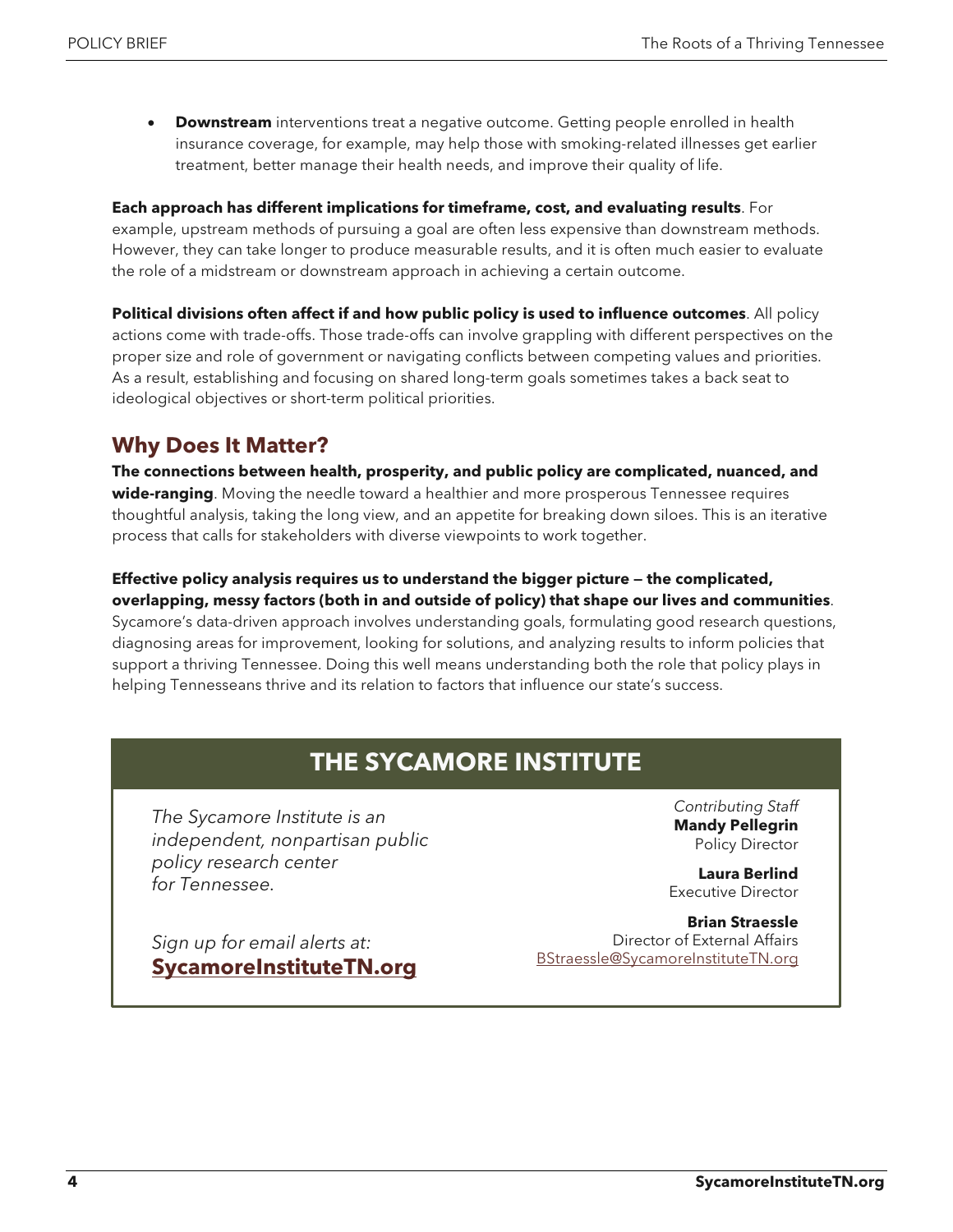**Downstream** interventions treat a negative outcome. Getting people enrolled in health insurance coverage, for example, may help those with smoking-related illnesses get earlier treatment, better manage their health needs, and improve their quality of life.

**Each approach has different implications for timeframe, cost, and evaluating results**. For example, upstream methods of pursuing a goal are often less expensive than downstream methods. However, they can take longer to produce measurable results, and it is often much easier to evaluate the role of a midstream or downstream approach in achieving a certain outcome.

**Political divisions often affect if and how public policy is used to influence outcomes**. All policy actions come with trade-offs. Those trade-offs can involve grappling with different perspectives on the proper size and role of government or navigating conflicts between competing values and priorities. As a result, establishing and focusing on shared long-term goals sometimes takes a back seat to ideological objectives or short-term political priorities.

### **Why Does It Matter?**

**The connections between health, prosperity, and public policy are complicated, nuanced, and wide-ranging**. Moving the needle toward a healthier and more prosperous Tennessee requires thoughtful analysis, taking the long view, and an appetite for breaking down siloes. This is an iterative process that calls for stakeholders with diverse viewpoints to work together.

#### **Effective policy analysis requires us to understand the bigger picture — the complicated, overlapping, messy factors (both in and outside of policy) that shape our lives and communities**.

Sycamore's data-driven approach involves understanding goals, formulating good research questions, diagnosing areas for improvement, looking for solutions, and analyzing results to inform policies that support a thriving Tennessee. Doing this well means understanding both the role that policy plays in helping Tennesseans thrive and its relation to factors that influence our state's success.

# **THE SYCAMORE INSTITUTE**

*The Sycamore Institute is an independent, nonpartisan public policy research center for Tennessee.*

*Sign up for email alerts at:*

**[SycamoreInstituteTN.org](http://www.sycamoreinstitutetn.org/)**

*Contributing Staff* **Mandy Pellegrin** Policy Director

**Laura Berlind** Executive Director

**Brian Straessle** Director of External Affairs [BStraessle@SycamoreInstituteTN.org](mailto:BStraessle@SycamoreInstituteTN.org)